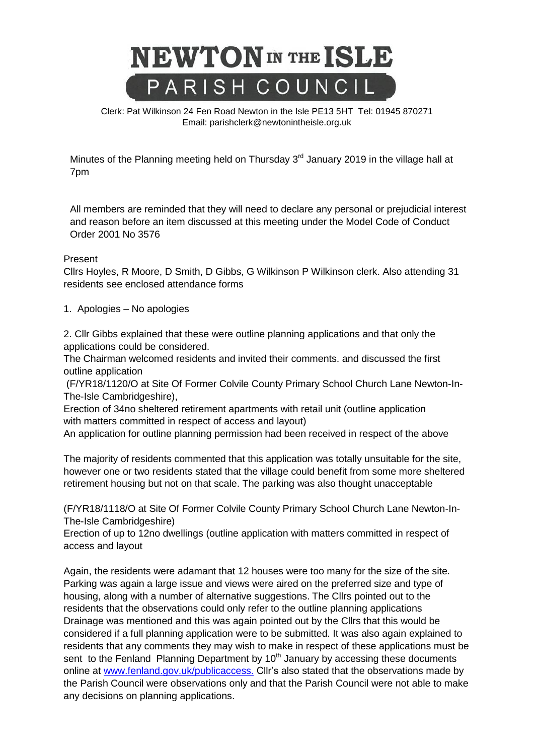

Clerk: Pat Wilkinson 24 Fen Road Newton in the Isle PE13 5HT [Tel: 01945](tel:01945) 870271 Email: parishclerk@newtonintheisle.org.uk

Minutes of the Planning meeting held on Thursday  $3<sup>rd</sup>$  January 2019 in the village hall at 7pm

All members are reminded that they will need to declare any personal or prejudicial interest and reason before an item discussed at this meeting under the Model Code of Conduct Order 2001 No 3576

## Present

Cllrs Hoyles, R Moore, D Smith, D Gibbs, G Wilkinson P Wilkinson clerk. Also attending 31 residents see enclosed attendance forms

1. Apologies – No apologies

2. Cllr Gibbs explained that these were outline planning applications and that only the applications could be considered.

The Chairman welcomed residents and invited their comments. and discussed the first outline application

(F/YR18/1120/O at Site Of Former Colvile County Primary School Church Lane Newton-In-The-Isle Cambridgeshire),

Erection of 34no sheltered retirement apartments with retail unit (outline application with matters committed in respect of access and layout)

An application for outline planning permission had been received in respect of the above

The majority of residents commented that this application was totally unsuitable for the site, however one or two residents stated that the village could benefit from some more sheltered retirement housing but not on that scale. The parking was also thought unacceptable

(F/YR18/1118/O at Site Of Former Colvile County Primary School Church Lane Newton-In-The-Isle Cambridgeshire)

Erection of up to 12no dwellings (outline application with matters committed in respect of access and layout

Again, the residents were adamant that 12 houses were too many for the size of the site. Parking was again a large issue and views were aired on the preferred size and type of housing, along with a number of alternative suggestions. The Cllrs pointed out to the residents that the observations could only refer to the outline planning applications Drainage was mentioned and this was again pointed out by the Cllrs that this would be considered if a full planning application were to be submitted. It was also again explained to residents that any comments they may wish to make in respect of these applications must be sent to the Fenland Planning Department by  $10<sup>th</sup>$  January by accessing these documents online at [www.fenland.gov.uk/publicaccess.](http://www.fenland.gov.uk/publicaccess.and) Cllr's also stated that the observations made by the Parish Council were observations only and that the Parish Council were not able to make any decisions on planning applications.